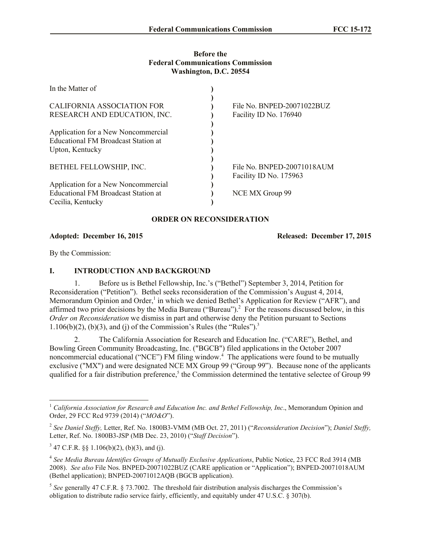## **Before the Federal Communications Commission Washington, D.C. 20554**

| File No. BNPED-20071022BUZ                           |                 |
|------------------------------------------------------|-----------------|
| Facility ID No. 176940                               |                 |
|                                                      |                 |
|                                                      |                 |
|                                                      |                 |
| File No. BNPED-20071018AUM<br>Facility ID No. 175963 |                 |
|                                                      | NCE MX Group 99 |
|                                                      |                 |

## **ORDER ON RECONSIDERATION**

**Adopted: December 16, 2015 Released: December 17, 2015**

By the Commission:

l

## **I. INTRODUCTION AND BACKGROUND**

1. Before us is Bethel Fellowship, Inc.'s ("Bethel") September 3, 2014, Petition for Reconsideration ("Petition"). Bethel seeks reconsideration of the Commission's August 4, 2014, Memorandum Opinion and Order,<sup>1</sup> in which we denied Bethel's Application for Review ("AFR"), and affirmed two prior decisions by the Media Bureau ("Bureau").<sup>2</sup> For the reasons discussed below, in this *Order on Reconsideration* we dismiss in part and otherwise deny the Petition pursuant to Sections 1.106(b)(2), (b)(3), and (j) of the Commission's Rules (the "Rules").<sup>3</sup>

2. The California Association for Research and Education Inc. ("CARE"), Bethel, and Bowling Green Community Broadcasting, Inc. ("BGCB") filed applications in the October 2007 noncommercial educational ("NCE") FM filing window.<sup>4</sup> The applications were found to be mutually exclusive ("MX") and were designated NCE MX Group 99 ("Group 99"). Because none of the applicants qualified for a fair distribution preference,<sup>5</sup> the Commission determined the tentative selectee of Group 99

<sup>1</sup> *California Association for Research and Education Inc. and Bethel Fellowship, Inc*., Memorandum Opinion and Order, 29 FCC Rcd 9739 (2014) ("*MO&O*").

<sup>2</sup> *See Daniel Steffy,* Letter, Ref. No. 1800B3-VMM (MB Oct. 27, 2011) ("*Reconsideration Decision*"); *Daniel Steffy,*  Letter, Ref. No. 1800B3-JSP (MB Dec. 23, 2010) ("*Staff Decision*").

 $3^{3}$  47 C.F.R. §§ 1.106(b)(2), (b)(3), and (j).

<sup>4</sup> *See Media Bureau Identifies Groups of Mutually Exclusive Applications*, Public Notice, 23 FCC Rcd 3914 (MB 2008). *See also* File Nos. BNPED-20071022BUZ (CARE application or "Application"); BNPED-20071018AUM (Bethel application); BNPED-20071012AQB (BGCB application).

<sup>5</sup> *See* generally 47 C.F.R. § 73.7002. The threshold fair distribution analysis discharges the Commission's obligation to distribute radio service fairly, efficiently, and equitably under 47 U.S.C. § 307(b).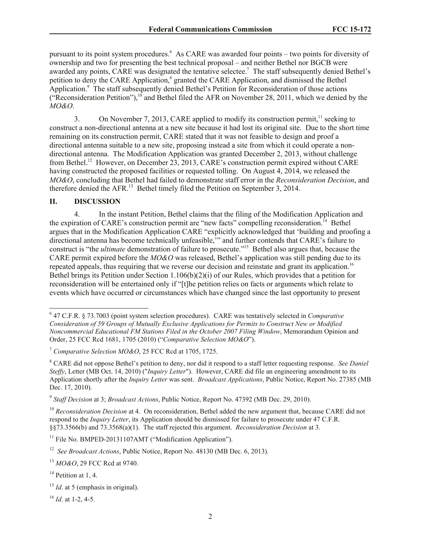pursuant to its point system procedures.<sup>6</sup> As CARE was awarded four points – two points for diversity of ownership and two for presenting the best technical proposal – and neither Bethel nor BGCB were awarded any points, CARE was designated the tentative selectee.<sup>7</sup> The staff subsequently denied Bethel's petition to deny the CARE Application,<sup>8</sup> granted the CARE Application, and dismissed the Bethel Application.<sup>9</sup> The staff subsequently denied Bethel's Petition for Reconsideration of those actions ("Reconsideration Petition"),<sup>10</sup> and Bethel filed the AFR on November 28, 2011, which we denied by the *MO&O*.

3. On November 7, 2013, CARE applied to modify its construction permit,<sup>11</sup> seeking to construct a non-directional antenna at a new site because it had lost its original site. Due to the short time remaining on its construction permit, CARE stated that it was not feasible to design and proof a directional antenna suitable to a new site, proposing instead a site from which it could operate a nondirectional antenna. The Modification Application was granted December 2, 2013, without challenge from Bethel.<sup>12</sup> However, on December 23, 2013, CARE's construction permit expired without CARE having constructed the proposed facilities or requested tolling. On August 4, 2014, we released the *MO&O*, concluding that Bethel had failed to demonstrate staff error in the *Reconsideration Decision*, and therefore denied the AFR.<sup>13</sup> Bethel timely filed the Petition on September 3, 2014.

# **II. DISCUSSION**

4. In the instant Petition, Bethel claims that the filing of the Modification Application and the expiration of CARE's construction permit are "new facts" compelling reconsideration.<sup>14</sup> Bethel argues that in the Modification Application CARE "explicitly acknowledged that 'building and proofing a directional antenna has become technically unfeasible,'" and further contends that CARE's failure to construct is "the *ultimate* demonstration of failure to prosecute."<sup>15</sup> Bethel also argues that, because the CARE permit expired before the *MO&O* was released, Bethel's application was still pending due to its repeated appeals, thus requiring that we reverse our decision and reinstate and grant its application. 16 Bethel brings its Petition under Section 1.106(b)(2)(i) of our Rules, which provides that a petition for reconsideration will be entertained only if "[t]he petition relies on facts or arguments which relate to events which have occurred or circumstances which have changed since the last opportunity to present

 6 47 C.F.R. § 73.7003 (point system selection procedures). CARE was tentatively selected in *Comparative Consideration of 59 Groups of Mutually Exclusive Applications for Permits to Construct New or Modified Noncommercial Educational FM Stations Filed in the October 2007 Filing Window*, Memorandum Opinion and Order, 25 FCC Rcd 1681, 1705 (2010) ("*Comparative Selection MO&O*").

<sup>7</sup> *Comparative Selection MO&O*, 25 FCC Rcd at 1705, 1725.

<sup>8</sup> CARE did not oppose Bethel's petition to deny, nor did it respond to a staff letter requesting response. *See Daniel Steffy*, Letter (MB Oct. 14, 2010) ("*Inquiry Letter*"). However, CARE did file an engineering amendment to its Application shortly after the *Inquiry Letter* was sent. *Broadcast Applications*, Public Notice, Report No. 27385 (MB Dec. 17, 2010).

<sup>9</sup> *Staff Decision* at 3; *Broadcast Actions*, Public Notice, Report No. 47392 (MB Dec. 29, 2010).

<sup>&</sup>lt;sup>10</sup> *Reconsideration Decision* at 4. On reconsideration, Bethel added the new argument that, because CARE did not respond to the *Inquiry Letter*, its Application should be dismissed for failure to prosecute under 47 C.F.R. §§73.3566(b) and 73.3568(a)(1). The staff rejected this argument. *Reconsideration Decision* at 3.

<sup>&</sup>lt;sup>11</sup> File No. BMPED-20131107AMT ("Modification Application").

<sup>&</sup>lt;sup>12</sup> See Broadcast Actions, Public Notice, Report No. 48130 (MB Dec. 6, 2013).

<sup>13</sup> *MO&O*, 29 FCC Rcd at 9740.

 $14$  Petition at 1, 4.

<sup>&</sup>lt;sup>15</sup> *Id*. at 5 (emphasis in original).

<sup>16</sup> *Id*. at 1-2, 4-5.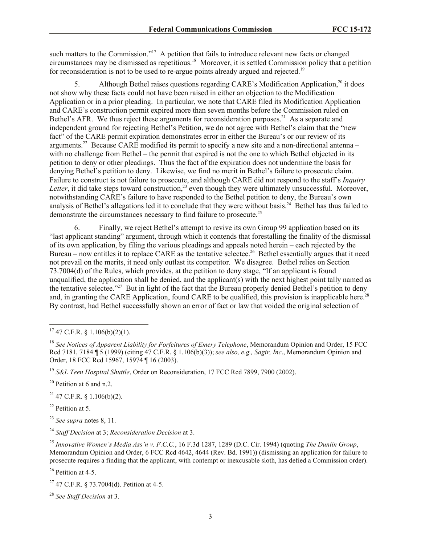such matters to the Commission."<sup>17</sup> A petition that fails to introduce relevant new facts or changed circumstances may be dismissed as repetitious. 18 Moreover, it is settled Commission policy that a petition for reconsideration is not to be used to re-argue points already argued and rejected.<sup>19</sup>

5. Although Bethel raises questions regarding CARE's Modification Application,<sup>20</sup> it does not show why these facts could not have been raised in either an objection to the Modification Application or in a prior pleading. In particular, we note that CARE filed its Modification Application and CARE's construction permit expired more than seven months before the Commission ruled on Bethel's AFR. We thus reject these arguments for reconsideration purposes.<sup>21</sup> As a separate and independent ground for rejecting Bethel's Petition, we do not agree with Bethel's claim that the "new fact" of the CARE permit expiration demonstrates error in either the Bureau's or our review of its arguments.<sup>22</sup> Because CARE modified its permit to specify a new site and a non-directional antenna – with no challenge from Bethel – the permit that expired is not the one to which Bethel objected in its petition to deny or other pleadings. Thus the fact of the expiration does not undermine the basis for denying Bethel's petition to deny. Likewise, we find no merit in Bethel's failure to prosecute claim. Failure to construct is not failure to prosecute, and although CARE did not respond to the staff's *Inquiry Letter*, it did take steps toward construction,<sup>23</sup> even though they were ultimately unsuccessful. Moreover, notwithstanding CARE's failure to have responded to the Bethel petition to deny, the Bureau's own analysis of Bethel's allegations led it to conclude that they were without basis.<sup>24</sup> Bethel has thus failed to demonstrate the circumstances necessary to find failure to prosecute.<sup>25</sup>

Finally, we reject Bethel's attempt to revive its own Group 99 application based on its "last applicant standing" argument, through which it contends that forestalling the finality of the dismissal of its own application, by filing the various pleadings and appeals noted herein – each rejected by the Bureau – now entitles it to replace CARE as the tentative selectee.<sup>26</sup> Bethel essentially argues that it need not prevail on the merits, it need only outlast its competitor. We disagree. Bethel relies on Section 73.7004(d) of the Rules, which provides, at the petition to deny stage, "If an applicant is found unqualified, the application shall be denied, and the applicant(s) with the next highest point tally named as the tentative selectee."<sup>27</sup> But in light of the fact that the Bureau properly denied Bethel's petition to deny and, in granting the CARE Application, found CARE to be qualified, this provision is inapplicable here.<sup>28</sup> By contrast, had Bethel successfully shown an error of fact or law that voided the original selection of

 $20$  Petition at 6 and n.2.

 $21$  47 C.F.R. § 1.106(b)(2).

 $22$  Petition at 5.

<sup>23</sup> *See supra* notes 8, 11.

<sup>24</sup> *Staff Decision* at 3; *Reconsideration Decision* at 3.

<sup>25</sup> *Innovative Women's Media Ass'n v. F.C.C.*, 16 F.3d 1287, 1289 (D.C. Cir. 1994) (quoting *The Dunlin Group*, Memorandum Opinion and Order, 6 FCC Rcd 4642, 4644 (Rev. Bd. 1991)) (dismissing an application for failure to prosecute requires a finding that the applicant, with contempt or inexcusable sloth, has defied a Commission order).

<sup>26</sup> Petition at 4-5.

<sup>28</sup> *See Staff Decision* at 3.

l  $17$  47 C.F.R. § 1.106(b)(2)(1).

<sup>&</sup>lt;sup>18</sup> See Notices of Apparent Liability for Forfeitures of Emery Telephone, Memorandum Opinion and Order, 15 FCC Rcd 7181, 7184 ¶ 5 (1999) (citing 47 C.F.R. § 1.106(b)(3)); *see also, e.g., Sagir, Inc*., Memorandum Opinion and Order, 18 FCC Rcd 15967, 15974 ¶ 16 (2003).

<sup>19</sup> *S&L Teen Hospital Shuttle*, Order on Reconsideration, 17 FCC Rcd 7899, 7900 (2002).

 $27$  47 C.F.R. § 73.7004(d). Petition at 4-5.